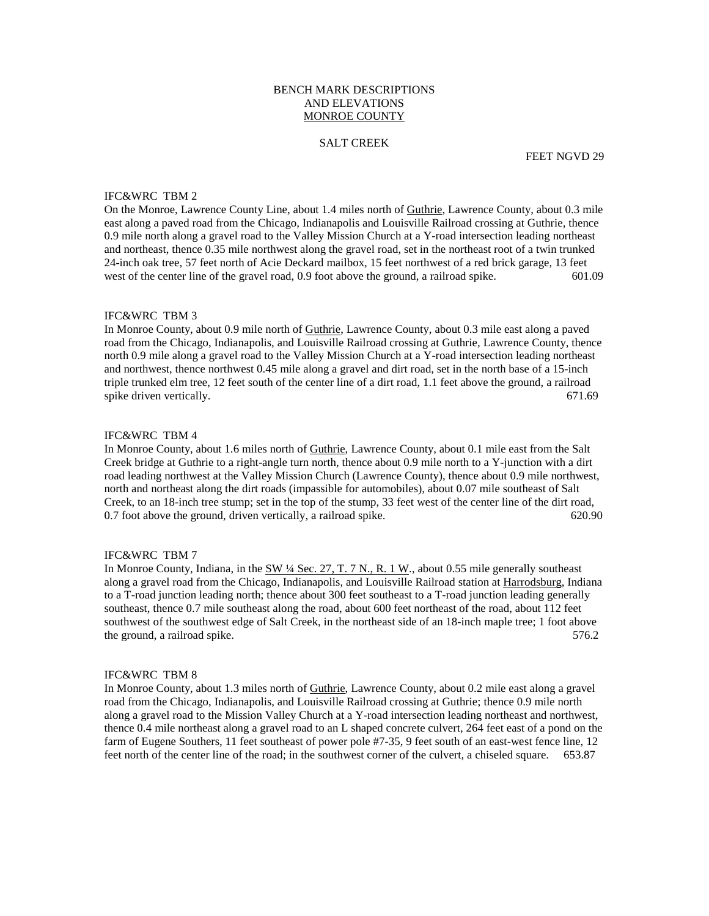## BENCH MARK DESCRIPTIONS AND ELEVATIONS MONROE COUNTY

#### SALT CREEK

FEET NGVD 29

#### IFC&WRC TBM 2

On the Monroe, Lawrence County Line, about 1.4 miles north of Guthrie, Lawrence County, about 0.3 mile east along a paved road from the Chicago, Indianapolis and Louisville Railroad crossing at Guthrie, thence 0.9 mile north along a gravel road to the Valley Mission Church at a Y-road intersection leading northeast and northeast, thence 0.35 mile northwest along the gravel road, set in the northeast root of a twin trunked 24-inch oak tree, 57 feet north of Acie Deckard mailbox, 15 feet northwest of a red brick garage, 13 feet west of the center line of the gravel road, 0.9 foot above the ground, a railroad spike. 601.09

#### IFC&WRC TBM 3

In Monroe County, about 0.9 mile north of Guthrie, Lawrence County, about 0.3 mile east along a paved road from the Chicago, Indianapolis, and Louisville Railroad crossing at Guthrie, Lawrence County, thence north 0.9 mile along a gravel road to the Valley Mission Church at a Y-road intersection leading northeast and northwest, thence northwest 0.45 mile along a gravel and dirt road, set in the north base of a 15-inch triple trunked elm tree, 12 feet south of the center line of a dirt road, 1.1 feet above the ground, a railroad spike driven vertically. 671.69

#### IFC&WRC TBM 4

In Monroe County, about 1.6 miles north of Guthrie, Lawrence County, about 0.1 mile east from the Salt Creek bridge at Guthrie to a right-angle turn north, thence about 0.9 mile north to a Y-junction with a dirt road leading northwest at the Valley Mission Church (Lawrence County), thence about 0.9 mile northwest, north and northeast along the dirt roads (impassible for automobiles), about 0.07 mile southeast of Salt Creek, to an 18-inch tree stump; set in the top of the stump, 33 feet west of the center line of the dirt road, 0.7 foot above the ground, driven vertically, a railroad spike. 620.90

# IFC&WRC TBM 7

In Monroe County, Indiana, in the SW ¼ Sec. 27, T. 7 N., R. 1 W., about 0.55 mile generally southeast along a gravel road from the Chicago, Indianapolis, and Louisville Railroad station at Harrodsburg, Indiana to a T-road junction leading north; thence about 300 feet southeast to a T-road junction leading generally southeast, thence 0.7 mile southeast along the road, about 600 feet northeast of the road, about 112 feet southwest of the southwest edge of Salt Creek, in the northeast side of an 18-inch maple tree; 1 foot above the ground, a railroad spike. 576.2

#### IFC&WRC TBM 8

In Monroe County, about 1.3 miles north of Guthrie, Lawrence County, about 0.2 mile east along a gravel road from the Chicago, Indianapolis, and Louisville Railroad crossing at Guthrie; thence 0.9 mile north along a gravel road to the Mission Valley Church at a Y-road intersection leading northeast and northwest, thence 0.4 mile northeast along a gravel road to an L shaped concrete culvert, 264 feet east of a pond on the farm of Eugene Southers, 11 feet southeast of power pole #7-35, 9 feet south of an east-west fence line, 12 feet north of the center line of the road; in the southwest corner of the culvert, a chiseled square. 653.87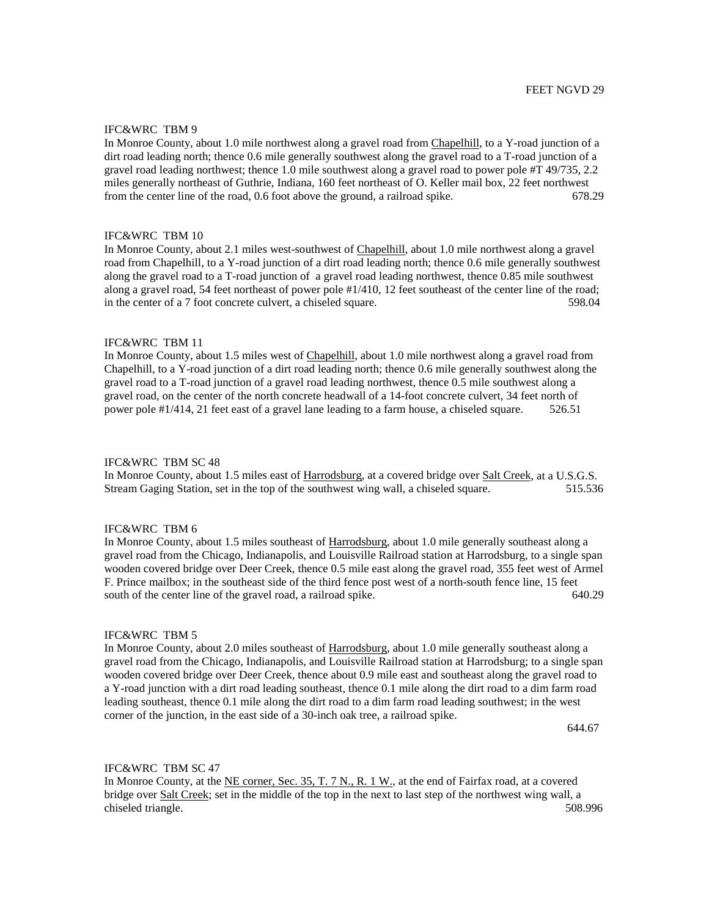## IFC&WRC TBM 9

In Monroe County, about 1.0 mile northwest along a gravel road from Chapelhill, to a Y-road junction of a dirt road leading north; thence 0.6 mile generally southwest along the gravel road to a T-road junction of a gravel road leading northwest; thence 1.0 mile southwest along a gravel road to power pole #T 49/735, 2.2 miles generally northeast of Guthrie, Indiana, 160 feet northeast of O. Keller mail box, 22 feet northwest from the center line of the road, 0.6 foot above the ground, a railroad spike. 678.29

### IFC&WRC TBM 10

In Monroe County, about 2.1 miles west-southwest of Chapelhill, about 1.0 mile northwest along a gravel road from Chapelhill, to a Y-road junction of a dirt road leading north; thence 0.6 mile generally southwest along the gravel road to a T-road junction of a gravel road leading northwest, thence 0.85 mile southwest along a gravel road, 54 feet northeast of power pole #1/410, 12 feet southeast of the center line of the road; in the center of a 7 foot concrete culvert, a chiseled square. 598.04

### IFC&WRC TBM 11

In Monroe County, about 1.5 miles west of Chapelhill, about 1.0 mile northwest along a gravel road from Chapelhill, to a Y-road junction of a dirt road leading north; thence 0.6 mile generally southwest along the gravel road to a T-road junction of a gravel road leading northwest, thence 0.5 mile southwest along a gravel road, on the center of the north concrete headwall of a 14-foot concrete culvert, 34 feet north of power pole #1/414, 21 feet east of a gravel lane leading to a farm house, a chiseled square. 526.51

#### IFC&WRC TBM SC 48

In Monroe County, about 1.5 miles east of Harrodsburg, at a covered bridge over Salt Creek, at a U.S.G.S. Stream Gaging Station, set in the top of the southwest wing wall, a chiseled square. 515.536

### IFC&WRC TBM 6

In Monroe County, about 1.5 miles southeast of Harrodsburg, about 1.0 mile generally southeast along a gravel road from the Chicago, Indianapolis, and Louisville Railroad station at Harrodsburg, to a single span wooden covered bridge over Deer Creek, thence 0.5 mile east along the gravel road, 355 feet west of Armel F. Prince mailbox; in the southeast side of the third fence post west of a north-south fence line, 15 feet south of the center line of the gravel road, a railroad spike. 640.29

#### IFC&WRC TBM 5

In Monroe County, about 2.0 miles southeast of Harrodsburg, about 1.0 mile generally southeast along a gravel road from the Chicago, Indianapolis, and Louisville Railroad station at Harrodsburg; to a single span wooden covered bridge over Deer Creek, thence about 0.9 mile east and southeast along the gravel road to a Y-road junction with a dirt road leading southeast, thence 0.1 mile along the dirt road to a dim farm road leading southeast, thence 0.1 mile along the dirt road to a dim farm road leading southwest; in the west corner of the junction, in the east side of a 30-inch oak tree, a railroad spike.

 $644.67$ 

## IFC&WRC TBM SC 47

In Monroe County, at the NE corner, Sec. 35, T. 7 N., R. 1 W., at the end of Fairfax road, at a covered bridge over Salt Creek; set in the middle of the top in the next to last step of the northwest wing wall, a chiseled triangle. 508.996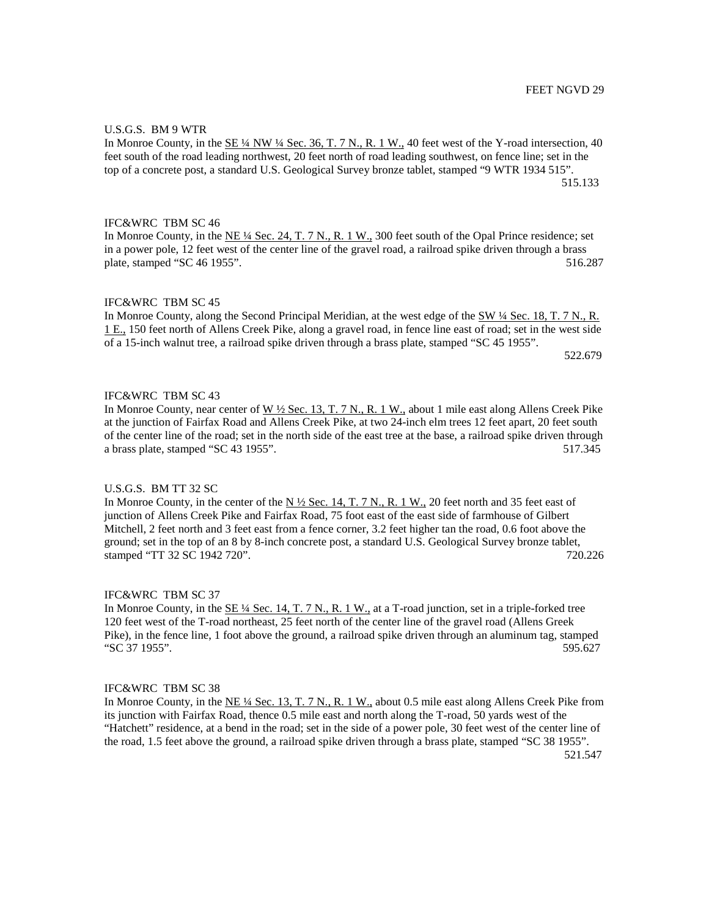# U.S.G.S. BM 9 WTR

In Monroe County, in the SE  $\frac{1}{4}$  NW  $\frac{1}{4}$  Sec. 36, T, 7 N, R, 1 W, 40 feet west of the Y-road intersection, 40 feet south of the road leading northwest, 20 feet north of road leading southwest, on fence line; set in the top of a concrete post, a standard U.S. Geological Survey bronze tablet, stamped "9 WTR 1934 515". 515.133

## IFC&WRC TBM SC 46

In Monroe County, in the NE ¼ Sec. 24, T. 7 N., R. 1 W., 300 feet south of the Opal Prince residence; set in a power pole, 12 feet west of the center line of the gravel road, a railroad spike driven through a brass plate, stamped "SC 46 1955". 516.287

#### IFC&WRC TBM SC 45

In Monroe County, along the Second Principal Meridian, at the west edge of the SW ¼ Sec. 18, T. 7 N., R. 1 E., 150 feet north of Allens Creek Pike, along a gravel road, in fence line east of road; set in the west side of a 15-inch walnut tree, a railroad spike driven through a brass plate, stamped "SC 45 1955".

 $522.679$ 

# IFC&WRC TBM SC 43

In Monroe County, near center of W  $\frac{1}{2}$  Sec. 13, T. 7 N., R. 1 W., about 1 mile east along Allens Creek Pike at the junction of Fairfax Road and Allens Creek Pike, at two 24-inch elm trees 12 feet apart, 20 feet south of the center line of the road; set in the north side of the east tree at the base, a railroad spike driven through a brass plate, stamped "SC 43 1955". 517.345

#### U.S.G.S. BM TT 32 SC

In Monroe County, in the center of the N  $\frac{1}{2}$  Sec. 14, T. 7 N., R. 1 W., 20 feet north and 35 feet east of junction of Allens Creek Pike and Fairfax Road, 75 foot east of the east side of farmhouse of Gilbert Mitchell, 2 feet north and 3 feet east from a fence corner, 3.2 feet higher tan the road, 0.6 foot above the ground; set in the top of an 8 by 8-inch concrete post, a standard U.S. Geological Survey bronze tablet, stamped "TT 32 SC 1942 720". 720.226

#### IFC&WRC TBM SC 37

In Monroe County, in the  $\underline{\text{SE 14}}$  Sec. 14, T. 7 N., R. 1 W., at a T-road junction, set in a triple-forked tree 120 feet west of the T-road northeast, 25 feet north of the center line of the gravel road (Allens Greek Pike), in the fence line, 1 foot above the ground, a railroad spike driven through an aluminum tag, stamped "SC 37 1955". 595.627

### IFC&WRC TBM SC 38

In Monroe County, in the NE ¼ Sec. 13, T. 7 N., R. 1 W., about 0.5 mile east along Allens Creek Pike from its junction with Fairfax Road, thence 0.5 mile east and north along the T-road, 50 yards west of the "Hatchett" residence, at a bend in the road; set in the side of a power pole, 30 feet west of the center line of the road, 1.5 feet above the ground, a railroad spike driven through a brass plate, stamped "SC 38 1955". 521.547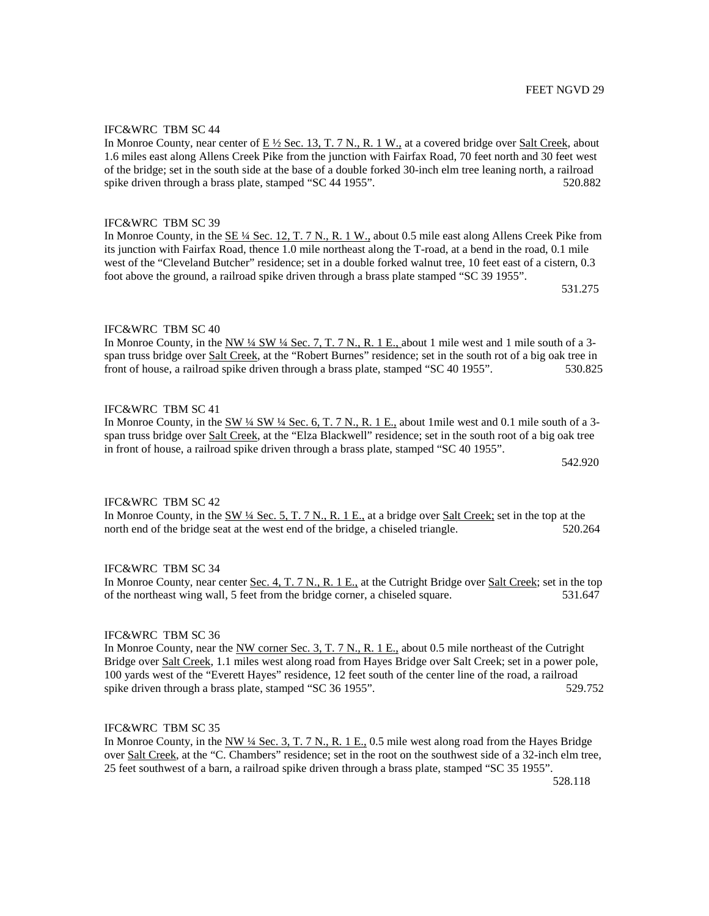## IFC&WRC TBM SC 44

In Monroe County, near center of E  $\frac{1}{2}$  Sec. 13, T. 7 N., R. 1 W., at a covered bridge over Salt Creek, about 1.6 miles east along Allens Creek Pike from the junction with Fairfax Road, 70 feet north and 30 feet west of the bridge; set in the south side at the base of a double forked 30-inch elm tree leaning north, a railroad spike driven through a brass plate, stamped "SC 44 1955". 520.882

#### IFC&WRC TBM SC 39

In Monroe County, in the SE ¼ Sec. 12, T. 7 N., R. 1 W., about 0.5 mile east along Allens Creek Pike from its junction with Fairfax Road, thence 1.0 mile northeast along the T-road, at a bend in the road, 0.1 mile west of the "Cleveland Butcher" residence; set in a double forked walnut tree, 10 feet east of a cistern, 0.3 foot above the ground, a railroad spike driven through a brass plate stamped "SC 39 1955".

531.275

# IFC&WRC TBM SC 40

In Monroe County, in the NW 1/4 SW 1/4 Sec. 7, T. 7 N., R. 1 E., about 1 mile west and 1 mile south of a 3span truss bridge over Salt Creek, at the "Robert Burnes" residence; set in the south rot of a big oak tree in front of house, a railroad spike driven through a brass plate, stamped "SC 40 1955". 530.825

### IFC&WRC TBM SC 41

In Monroe County, in the SW  $\frac{1}{4}$  SW  $\frac{1}{4}$  Sec. 6, T. 7 N., R. 1 E., about 1 mile west and 0.1 mile south of a 3span truss bridge over Salt Creek, at the "Elza Blackwell" residence; set in the south root of a big oak tree in front of house, a railroad spike driven through a brass plate, stamped "SC 40 1955".

542.920

# IFC&WRC TBM SC 42

In Monroe County, in the  $\frac{SW 14 \text{ Sec. 5, T. 7 N. R. 1 E.}}{NE 1 \text{ Hz}}$  at a bridge over Salt Creek; set in the top at the north end of the bridge seat at the west end of the bridge, a chiseled triangle. 520.264

### IFC&WRC TBM SC 34

In Monroe County, near center Sec. 4, T. 7 N., R. 1 E., at the Cutright Bridge over Salt Creek; set in the top of the northeast wing wall, 5 feet from the bridge corner, a chiseled square. 531.647

#### IFC&WRC TBM SC 36

In Monroe County, near the NW corner Sec. 3, T. 7 N., R. 1 E., about 0.5 mile northeast of the Cutright Bridge over Salt Creek, 1.1 miles west along road from Hayes Bridge over Salt Creek; set in a power pole, 100 yards west of the "Everett Hayes" residence, 12 feet south of the center line of the road, a railroad spike driven through a brass plate, stamped "SC 36 1955". 529.752

## IFC&WRC TBM SC 35

In Monroe County, in the NW ¼ Sec. 3, T. 7 N., R. 1 E., 0.5 mile west along road from the Hayes Bridge over Salt Creek, at the "C. Chambers" residence; set in the root on the southwest side of a 32-inch elm tree, 25 feet southwest of a barn, a railroad spike driven through a brass plate, stamped "SC 35 1955".

528.118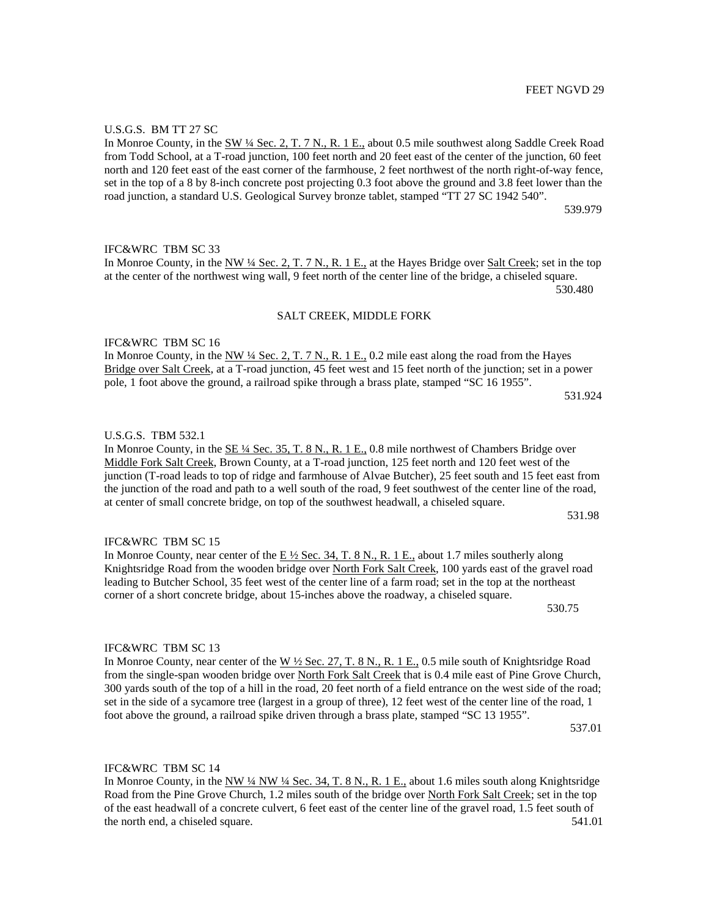#### U.S.G.S. BM TT 27 SC

In Monroe County, in the SW ¼ Sec. 2, T. 7 N., R. 1 E., about 0.5 mile southwest along Saddle Creek Road from Todd School, at a T-road junction, 100 feet north and 20 feet east of the center of the junction, 60 feet north and 120 feet east of the east corner of the farmhouse, 2 feet northwest of the north right-of-way fence, set in the top of a 8 by 8-inch concrete post projecting 0.3 foot above the ground and 3.8 feet lower than the road junction, a standard U.S. Geological Survey bronze tablet, stamped "TT 27 SC 1942 540".

539.979

# IFC&WRC TBM SC 33

In Monroe County, in the NW ¼ Sec. 2, T. 7 N., R. 1 E., at the Hayes Bridge over Salt Creek; set in the top at the center of the northwest wing wall, 9 feet north of the center line of the bridge, a chiseled square. 530.480

#### SALT CREEK, MIDDLE FORK

IFC&WRC TBM SC 16

In Monroe County, in the NW  $\frac{1}{4}$  Sec. 2, T. 7 N., R. 1 E., 0.2 mile east along the road from the Hayes Bridge over Salt Creek, at a T-road junction, 45 feet west and 15 feet north of the junction; set in a power pole, 1 foot above the ground, a railroad spike through a brass plate, stamped "SC 16 1955". 531.924

#### U.S.G.S. TBM 532.1

In Monroe County, in the SE ¼ Sec. 35, T. 8 N., R. 1 E., 0.8 mile northwest of Chambers Bridge over Middle Fork Salt Creek, Brown County, at a T-road junction, 125 feet north and 120 feet west of the junction (T-road leads to top of ridge and farmhouse of Alvae Butcher), 25 feet south and 15 feet east from the junction of the road and path to a well south of the road, 9 feet southwest of the center line of the road, at center of small concrete bridge, on top of the southwest headwall, a chiseled square.

531.98

#### IFC&WRC TBM SC 15

# In Monroe County, near center of the  $E\frac{1}{2}$  Sec. 34, T. 8 N., R. 1 E., about 1.7 miles southerly along Knightsridge Road from the wooden bridge over North Fork Salt Creek, 100 yards east of the gravel road leading to Butcher School, 35 feet west of the center line of a farm road; set in the top at the northeast corner of a short concrete bridge, about 15-inches above the roadway, a chiseled square.

530.75

#### IFC&WRC TBM SC 13

# In Monroe County, near center of the W ½ Sec. 27, T. 8 N., R. 1 E., 0.5 mile south of Knightsridge Road from the single-span wooden bridge over North Fork Salt Creek that is 0.4 mile east of Pine Grove Church, 300 yards south of the top of a hill in the road, 20 feet north of a field entrance on the west side of the road; set in the side of a sycamore tree (largest in a group of three), 12 feet west of the center line of the road, 1 foot above the ground, a railroad spike driven through a brass plate, stamped "SC 13 1955".

537.01

IFC&WRC TBM SC 14

In Monroe County, in the NW ¼ NW ¼ Sec. 34, T. 8 N., R. 1 E., about 1.6 miles south along Knightsridge Road from the Pine Grove Church, 1.2 miles south of the bridge over North Fork Salt Creek; set in the top of the east headwall of a concrete culvert, 6 feet east of the center line of the gravel road, 1.5 feet south of the north end, a chiseled square. 541.01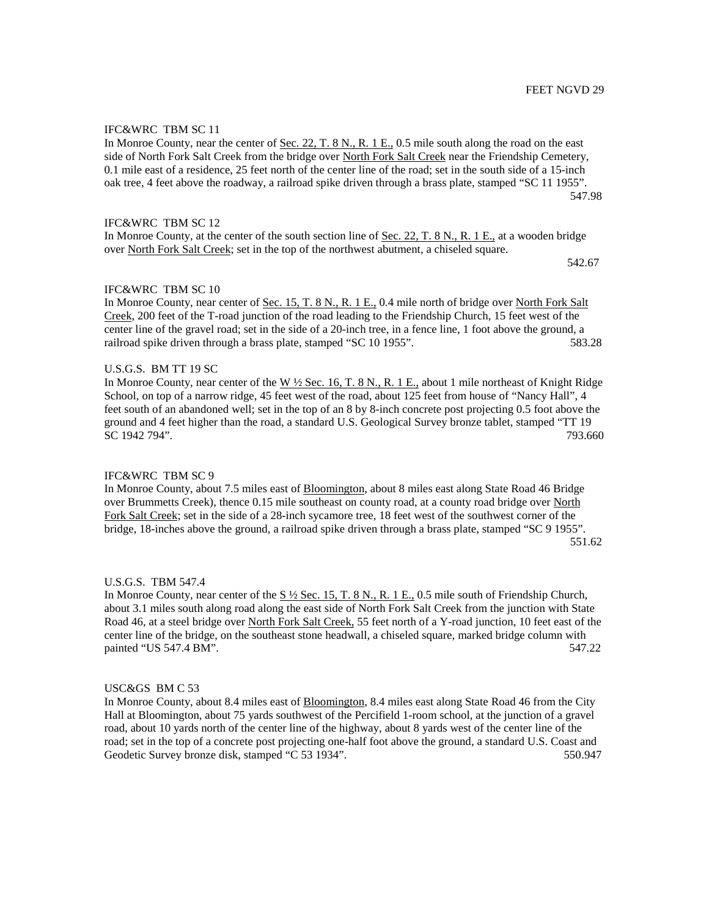## IFC&WRC TBM SC 11

In Monroe County, near the center of Sec. 22, T. 8 N., R. 1 E., 0.5 mile south along the road on the east side of North Fork Salt Creek from the bridge over North Fork Salt Creek near the Friendship Cemetery, 0.1 mile east of a residence, 25 feet north of the center line of the road; set in the south side of a 15-inch oak tree, 4 feet above the roadway, a railroad spike driven through a brass plate, stamped "SC 11 1955". 547.98

### IFC&WRC TBM SC 12

In Monroe County, at the center of the south section line of Sec. 22, T. 8 N., R. 1 E., at a wooden bridge over North Fork Salt Creek; set in the top of the northwest abutment, a chiseled square.

542.67

### IFC&WRC TBM SC 10

In Monroe County, near center of Sec. 15, T. 8 N., R. 1 E., 0.4 mile north of bridge over North Fork Salt Creek, 200 feet of the T-road junction of the road leading to the Friendship Church, 15 feet west of the center line of the gravel road; set in the side of a 20-inch tree, in a fence line, 1 foot above the ground, a railroad spike driven through a brass plate, stamped "SC 10 1955". 583.28

### U.S.G.S. BM TT 19 SC

In Monroe County, near center of the  $W \frac{1}{2}$  Sec. 16, T. 8 N., R. 1 E., about 1 mile northeast of Knight Ridge School, on top of a narrow ridge, 45 feet west of the road, about 125 feet from house of "Nancy Hall", 4 feet south of an abandoned well; set in the top of an 8 by 8-inch concrete post projecting 0.5 foot above the ground and 4 feet higher than the road, a standard U.S. Geological Survey bronze tablet, stamped "TT 19 SC 1942 794". 793.660

#### IFC&WRC TBM SC 9

In Monroe County, about 7.5 miles east of Bloomington, about 8 miles east along State Road 46 Bridge over Brummetts Creek), thence 0.15 mile southeast on county road, at a county road bridge over North Fork Salt Creek; set in the side of a 28-inch sycamore tree, 18 feet west of the southwest corner of the bridge, 18-inches above the ground, a railroad spike driven through a brass plate, stamped "SC 9 1955". 551.62

#### U.S.G.S. TBM 547.4

In Monroe County, near center of the S ½ Sec. 15, T. 8 N., R. 1 E., 0.5 mile south of Friendship Church, about 3.1 miles south along road along the east side of North Fork Salt Creek from the junction with State Road 46, at a steel bridge over North Fork Salt Creek, 55 feet north of a Y-road junction, 10 feet east of the center line of the bridge, on the southeast stone headwall, a chiseled square, marked bridge column with painted "US 547.4 BM". 547.22

#### USC&GS BM C 53

In Monroe County, about 8.4 miles east of Bloomington, 8.4 miles east along State Road 46 from the City Hall at Bloomington, about 75 yards southwest of the Percifield 1-room school, at the junction of a gravel road, about 10 yards north of the center line of the highway, about 8 yards west of the center line of the road; set in the top of a concrete post projecting one-half foot above the ground, a standard U.S. Coast and Geodetic Survey bronze disk, stamped "C 53 1934". 550.947